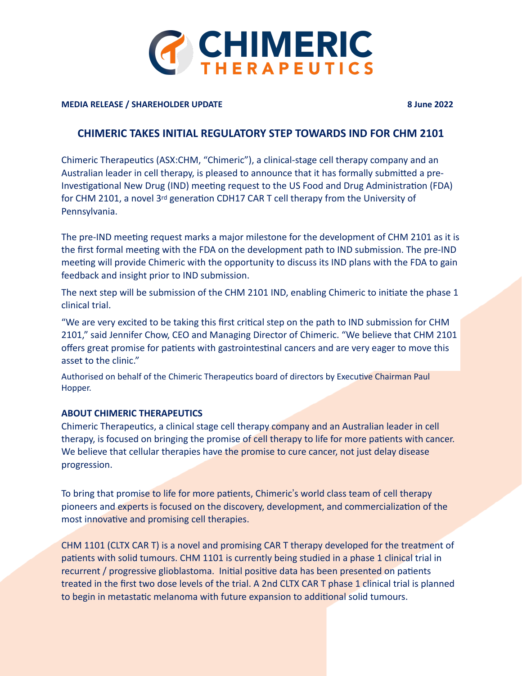

## **MEDIA RELEASE / SHAREHOLDER UPDATE 8 June 2022**

## **CHIMERIC TAKES INITIAL REGULATORY STEP TOWARDS IND FOR CHM 2101**

Chimeric Therapeutics (ASX:CHM, "Chimeric"), a clinical-stage cell therapy company and an Australian leader in cell therapy, is pleased to announce that it has formally submitted a pre-Investigational New Drug (IND) meeting request to the US Food and Drug Administration (FDA) for CHM 2101, a novel 3<sup>rd</sup> generation CDH17 CAR T cell therapy from the University of Pennsylvania.

The pre-IND meeting request marks a major milestone for the development of CHM 2101 as it is the first formal meeting with the FDA on the development path to IND submission. The pre-IND meeting will provide Chimeric with the opportunity to discuss its IND plans with the FDA to gain feedback and insight prior to IND submission.

The next step will be submission of the CHM 2101 IND, enabling Chimeric to initiate the phase 1 clinical trial.

"We are very excited to be taking this first critical step on the path to IND submission for CHM 2101," said Jennifer Chow, CEO and Managing Director of Chimeric. "We believe that CHM 2101 offers great promise for patients with gastrointestinal cancers and are very eager to move this asset to the clinic."

Authorised on behalf of the Chimeric Therapeutics board of directors by Executive Chairman Paul Hopper.

## **ABOUT CHIMERIC THERAPEUTICS**

Chimeric Therapeutics, a clinical stage cell therapy company and an Australian leader in cell therapy, is focused on bringing the promise of cell therapy to life for more patients with cancer. We believe that cellular therapies have the promise to cure cancer, not just delay disease progression.

To bring that promise to life for more patients, Chimeric's world class team of cell therapy pioneers and experts is focused on the discovery, development, and commercialization of the most innovative and promising cell therapies.

CHM 1101 (CLTX CAR T) is a novel and promising CAR T therapy developed for the treatment of patients with solid tumours. CHM 1101 is currently being studied in a phase 1 clinical trial in recurrent / progressive glioblastoma. Initial positive data has been presented on patients treated in the first two dose levels of the trial. A 2nd CLTX CAR T phase 1 clinical trial is planned to begin in metastatic melanoma with future expansion to additional solid tumours.